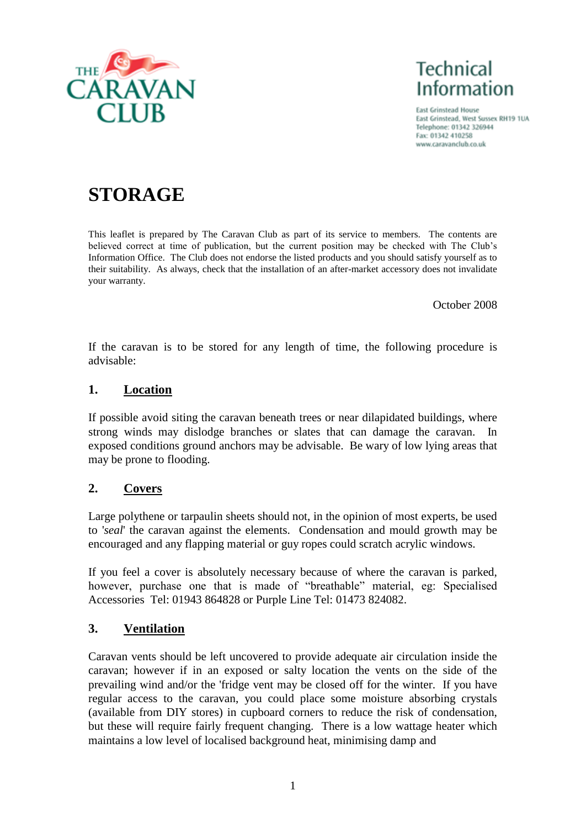

**Technical Information** 

**East Grinstead House** East Grinstead, West Sussex RH19 1UA Telephone: 01342 326944 Fax: 01342 410258 www.caravanclub.co.uk

# **STORAGE**

This leaflet is prepared by The Caravan Club as part of its service to members. The contents are believed correct at time of publication, but the current position may be checked with The Club"s Information Office. The Club does not endorse the listed products and you should satisfy yourself as to their suitability. As always, check that the installation of an after-market accessory does not invalidate your warranty.

October 2008

If the caravan is to be stored for any length of time, the following procedure is advisable:

#### **1. Location**

If possible avoid siting the caravan beneath trees or near dilapidated buildings, where strong winds may dislodge branches or slates that can damage the caravan. In exposed conditions ground anchors may be advisable. Be wary of low lying areas that may be prone to flooding.

### **2. Covers**

Large polythene or tarpaulin sheets should not, in the opinion of most experts, be used to '*seal*' the caravan against the elements. Condensation and mould growth may be encouraged and any flapping material or guy ropes could scratch acrylic windows.

If you feel a cover is absolutely necessary because of where the caravan is parked, however, purchase one that is made of "breathable" material, eg: Specialised Accessories Tel: 01943 864828 or Purple Line Tel: 01473 824082.

### **3. Ventilation**

Caravan vents should be left uncovered to provide adequate air circulation inside the caravan; however if in an exposed or salty location the vents on the side of the prevailing wind and/or the 'fridge vent may be closed off for the winter. If you have regular access to the caravan, you could place some moisture absorbing crystals (available from DIY stores) in cupboard corners to reduce the risk of condensation, but these will require fairly frequent changing. There is a low wattage heater which maintains a low level of localised background heat, minimising damp and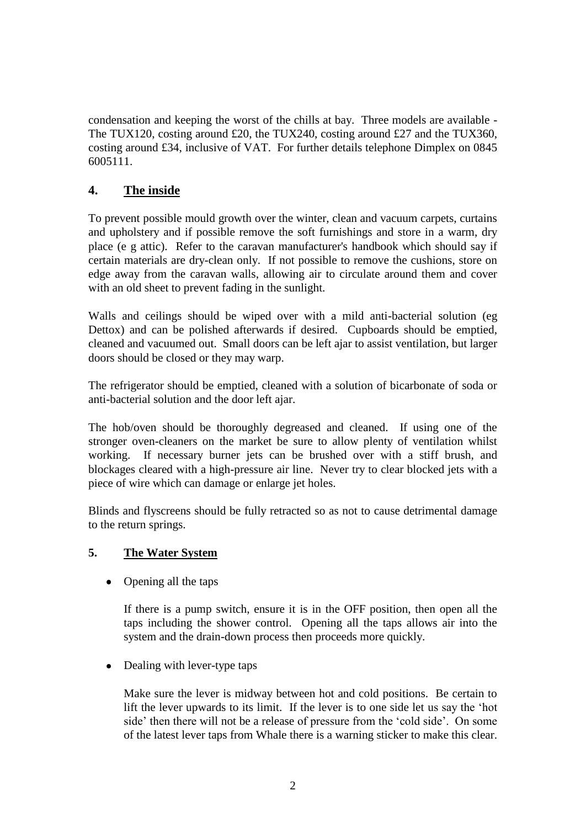condensation and keeping the worst of the chills at bay. Three models are available - The TUX120, costing around £20, the TUX240, costing around £27 and the TUX360, costing around £34, inclusive of VAT. For further details telephone Dimplex on 0845 6005111.

### **4. The inside**

To prevent possible mould growth over the winter, clean and vacuum carpets, curtains and upholstery and if possible remove the soft furnishings and store in a warm, dry place (e g attic). Refer to the caravan manufacturer's handbook which should say if certain materials are dry-clean only. If not possible to remove the cushions, store on edge away from the caravan walls, allowing air to circulate around them and cover with an old sheet to prevent fading in the sunlight.

Walls and ceilings should be wiped over with a mild anti-bacterial solution (eg Dettox) and can be polished afterwards if desired. Cupboards should be emptied, cleaned and vacuumed out. Small doors can be left ajar to assist ventilation, but larger doors should be closed or they may warp.

The refrigerator should be emptied, cleaned with a solution of bicarbonate of soda or anti-bacterial solution and the door left ajar.

The hob/oven should be thoroughly degreased and cleaned. If using one of the stronger oven-cleaners on the market be sure to allow plenty of ventilation whilst working. If necessary burner jets can be brushed over with a stiff brush, and blockages cleared with a high-pressure air line. Never try to clear blocked jets with a piece of wire which can damage or enlarge jet holes.

Blinds and flyscreens should be fully retracted so as not to cause detrimental damage to the return springs.

#### **5. The Water System**

• Opening all the taps

If there is a pump switch, ensure it is in the OFF position, then open all the taps including the shower control. Opening all the taps allows air into the system and the drain-down process then proceeds more quickly.

 $\bullet$ Dealing with lever-type taps

> Make sure the lever is midway between hot and cold positions. Be certain to lift the lever upwards to its limit. If the lever is to one side let us say the "hot side' then there will not be a release of pressure from the 'cold side'. On some of the latest lever taps from Whale there is a warning sticker to make this clear.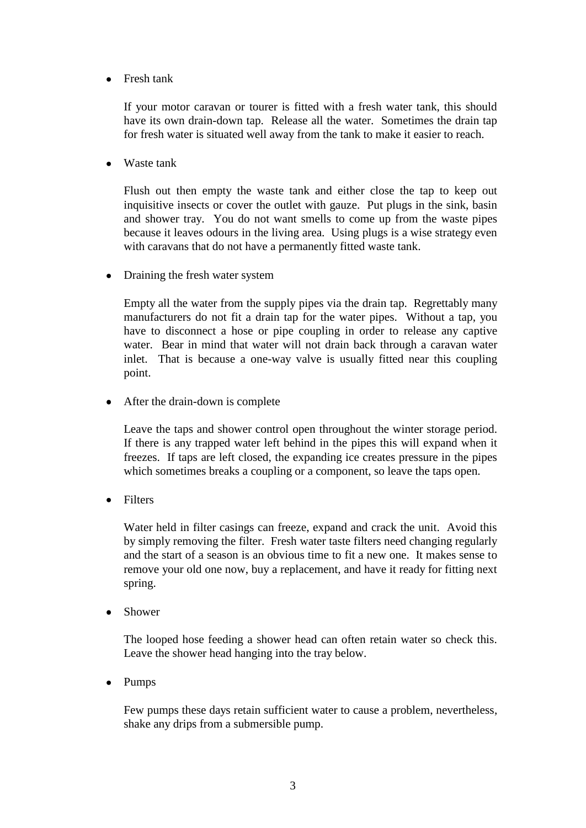Fresh tank  $\bullet$ 

> If your motor caravan or tourer is fitted with a fresh water tank, this should have its own drain-down tap. Release all the water. Sometimes the drain tap for fresh water is situated well away from the tank to make it easier to reach.

Waste tank

Flush out then empty the waste tank and either close the tap to keep out inquisitive insects or cover the outlet with gauze. Put plugs in the sink, basin and shower tray. You do not want smells to come up from the waste pipes because it leaves odours in the living area. Using plugs is a wise strategy even with caravans that do not have a permanently fitted waste tank.

• Draining the fresh water system

Empty all the water from the supply pipes via the drain tap. Regrettably many manufacturers do not fit a drain tap for the water pipes. Without a tap, you have to disconnect a hose or pipe coupling in order to release any captive water. Bear in mind that water will not drain back through a caravan water inlet. That is because a one-way valve is usually fitted near this coupling point.

 $\bullet$ After the drain-down is complete

> Leave the taps and shower control open throughout the winter storage period. If there is any trapped water left behind in the pipes this will expand when it freezes. If taps are left closed, the expanding ice creates pressure in the pipes which sometimes breaks a coupling or a component, so leave the taps open.

 $\bullet$ Filters

> Water held in filter casings can freeze, expand and crack the unit. Avoid this by simply removing the filter. Fresh water taste filters need changing regularly and the start of a season is an obvious time to fit a new one. It makes sense to remove your old one now, buy a replacement, and have it ready for fitting next spring.

• Shower

The looped hose feeding a shower head can often retain water so check this. Leave the shower head hanging into the tray below.

• Pumps

Few pumps these days retain sufficient water to cause a problem, nevertheless, shake any drips from a submersible pump.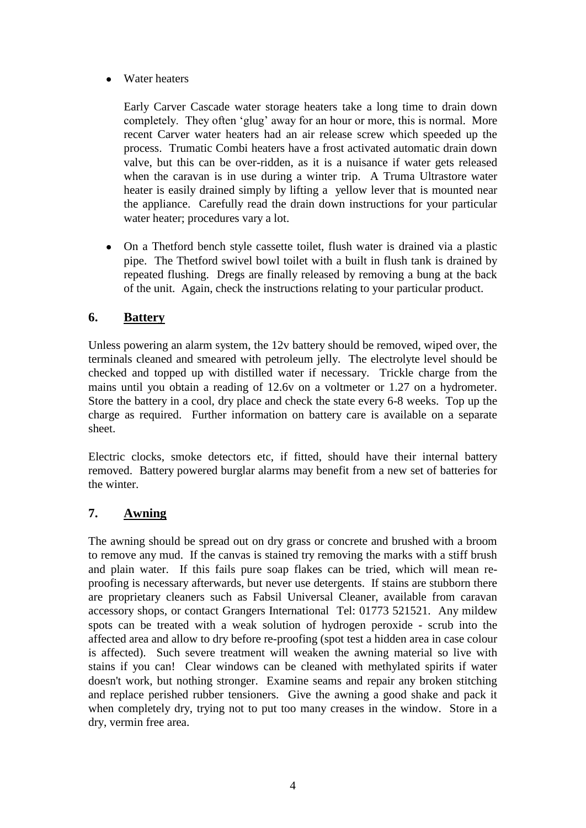Water heaters  $\bullet$ 

> Early Carver Cascade water storage heaters take a long time to drain down completely. They often 'glug' away for an hour or more, this is normal. More recent Carver water heaters had an air release screw which speeded up the process. Trumatic Combi heaters have a frost activated automatic drain down valve, but this can be over-ridden, as it is a nuisance if water gets released when the caravan is in use during a winter trip. A Truma Ultrastore water heater is easily drained simply by lifting a yellow lever that is mounted near the appliance. Carefully read the drain down instructions for your particular water heater; procedures vary a lot.

On a Thetford bench style cassette toilet, flush water is drained via a plastic  $\bullet$ pipe. The Thetford swivel bowl toilet with a built in flush tank is drained by repeated flushing. Dregs are finally released by removing a bung at the back of the unit. Again, check the instructions relating to your particular product.

### **6. Battery**

Unless powering an alarm system, the 12v battery should be removed, wiped over, the terminals cleaned and smeared with petroleum jelly. The electrolyte level should be checked and topped up with distilled water if necessary. Trickle charge from the mains until you obtain a reading of 12.6v on a voltmeter or 1.27 on a hydrometer. Store the battery in a cool, dry place and check the state every 6-8 weeks. Top up the charge as required. Further information on battery care is available on a separate sheet.

Electric clocks, smoke detectors etc, if fitted, should have their internal battery removed. Battery powered burglar alarms may benefit from a new set of batteries for the winter.

# **7. Awning**

The awning should be spread out on dry grass or concrete and brushed with a broom to remove any mud. If the canvas is stained try removing the marks with a stiff brush and plain water. If this fails pure soap flakes can be tried, which will mean reproofing is necessary afterwards, but never use detergents. If stains are stubborn there are proprietary cleaners such as Fabsil Universal Cleaner, available from caravan accessory shops, or contact Grangers International Tel: 01773 521521. Any mildew spots can be treated with a weak solution of hydrogen peroxide - scrub into the affected area and allow to dry before re-proofing (spot test a hidden area in case colour is affected). Such severe treatment will weaken the awning material so live with stains if you can! Clear windows can be cleaned with methylated spirits if water doesn't work, but nothing stronger. Examine seams and repair any broken stitching and replace perished rubber tensioners. Give the awning a good shake and pack it when completely dry, trying not to put too many creases in the window. Store in a dry, vermin free area.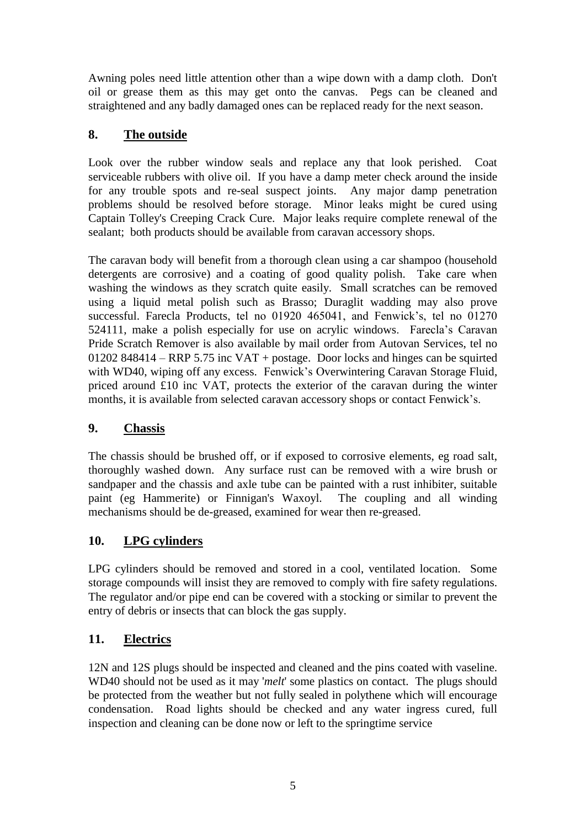Awning poles need little attention other than a wipe down with a damp cloth. Don't oil or grease them as this may get onto the canvas. Pegs can be cleaned and straightened and any badly damaged ones can be replaced ready for the next season.

# **8. The outside**

Look over the rubber window seals and replace any that look perished. Coat serviceable rubbers with olive oil. If you have a damp meter check around the inside for any trouble spots and re-seal suspect joints. Any major damp penetration problems should be resolved before storage. Minor leaks might be cured using Captain Tolley's Creeping Crack Cure. Major leaks require complete renewal of the sealant; both products should be available from caravan accessory shops.

The caravan body will benefit from a thorough clean using a car shampoo (household detergents are corrosive) and a coating of good quality polish. Take care when washing the windows as they scratch quite easily. Small scratches can be removed using a liquid metal polish such as Brasso; Duraglit wadding may also prove successful. Farecla Products, tel no 01920 465041, and Fenwick's, tel no 01270 524111, make a polish especially for use on acrylic windows. Farecla"s Caravan Pride Scratch Remover is also available by mail order from Autovan Services, tel no 01202 848414 – RRP 5.75 inc VAT + postage. Door locks and hinges can be squirted with WD40, wiping off any excess. Fenwick's Overwintering Caravan Storage Fluid, priced around £10 inc VAT, protects the exterior of the caravan during the winter months, it is available from selected caravan accessory shops or contact Fenwick"s.

# **9. Chassis**

The chassis should be brushed off, or if exposed to corrosive elements, eg road salt, thoroughly washed down. Any surface rust can be removed with a wire brush or sandpaper and the chassis and axle tube can be painted with a rust inhibiter, suitable paint (eg Hammerite) or Finnigan's Waxoyl. The coupling and all winding mechanisms should be de-greased, examined for wear then re-greased.

# **10. LPG cylinders**

LPG cylinders should be removed and stored in a cool, ventilated location. Some storage compounds will insist they are removed to comply with fire safety regulations. The regulator and/or pipe end can be covered with a stocking or similar to prevent the entry of debris or insects that can block the gas supply.

# **11. Electrics**

12N and 12S plugs should be inspected and cleaned and the pins coated with vaseline. WD40 should not be used as it may '*melt*' some plastics on contact. The plugs should be protected from the weather but not fully sealed in polythene which will encourage condensation. Road lights should be checked and any water ingress cured, full inspection and cleaning can be done now or left to the springtime service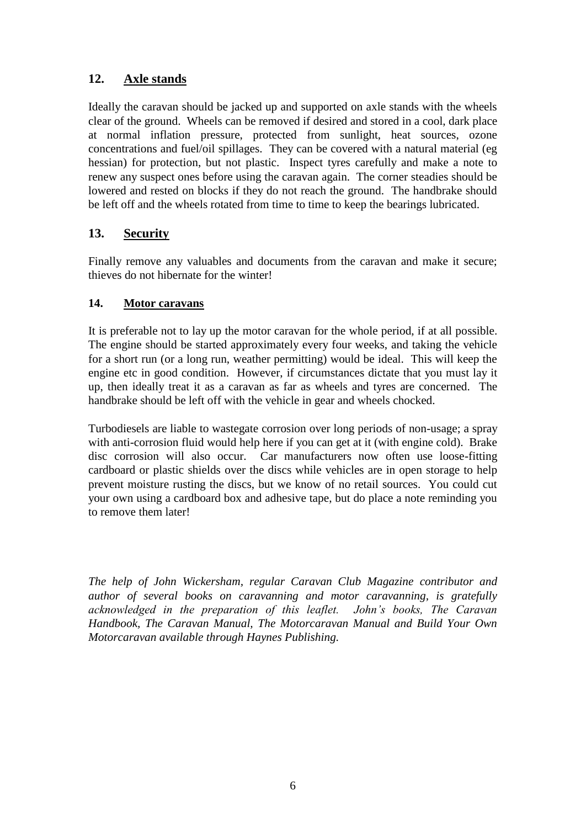# **12. Axle stands**

Ideally the caravan should be jacked up and supported on axle stands with the wheels clear of the ground. Wheels can be removed if desired and stored in a cool, dark place at normal inflation pressure, protected from sunlight, heat sources, ozone concentrations and fuel/oil spillages. They can be covered with a natural material (eg hessian) for protection, but not plastic. Inspect tyres carefully and make a note to renew any suspect ones before using the caravan again. The corner steadies should be lowered and rested on blocks if they do not reach the ground. The handbrake should be left off and the wheels rotated from time to time to keep the bearings lubricated.

### **13. Security**

Finally remove any valuables and documents from the caravan and make it secure; thieves do not hibernate for the winter!

#### **14. Motor caravans**

It is preferable not to lay up the motor caravan for the whole period, if at all possible. The engine should be started approximately every four weeks, and taking the vehicle for a short run (or a long run, weather permitting) would be ideal. This will keep the engine etc in good condition. However, if circumstances dictate that you must lay it up, then ideally treat it as a caravan as far as wheels and tyres are concerned. The handbrake should be left off with the vehicle in gear and wheels chocked.

Turbodiesels are liable to wastegate corrosion over long periods of non-usage; a spray with anti-corrosion fluid would help here if you can get at it (with engine cold). Brake disc corrosion will also occur. Car manufacturers now often use loose-fitting cardboard or plastic shields over the discs while vehicles are in open storage to help prevent moisture rusting the discs, but we know of no retail sources. You could cut your own using a cardboard box and adhesive tape, but do place a note reminding you to remove them later!

*The help of John Wickersham, regular Caravan Club Magazine contributor and author of several books on caravanning and motor caravanning, is gratefully acknowledged in the preparation of this leaflet. John's books, The Caravan Handbook, The Caravan Manual, The Motorcaravan Manual and Build Your Own Motorcaravan available through Haynes Publishing.*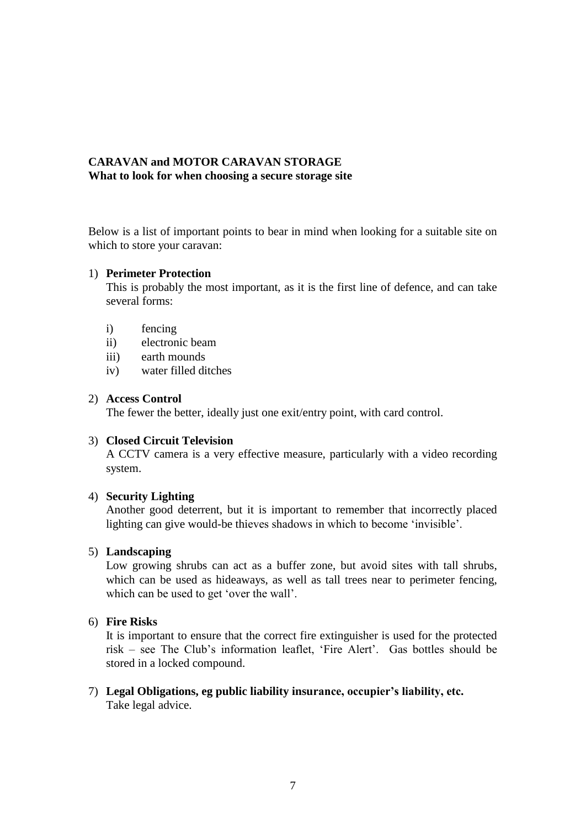#### **CARAVAN and MOTOR CARAVAN STORAGE What to look for when choosing a secure storage site**

Below is a list of important points to bear in mind when looking for a suitable site on which to store your caravan:

#### 1) **Perimeter Protection**

This is probably the most important, as it is the first line of defence, and can take several forms:

- i) fencing
- ii) electronic beam
- iii) earth mounds
- iv) water filled ditches

#### 2) **Access Control**

The fewer the better, ideally just one exit/entry point, with card control.

#### 3) **Closed Circuit Television**

A CCTV camera is a very effective measure, particularly with a video recording system.

#### 4) **Security Lighting**

Another good deterrent, but it is important to remember that incorrectly placed lighting can give would-be thieves shadows in which to become "invisible".

#### 5) **Landscaping**

Low growing shrubs can act as a buffer zone, but avoid sites with tall shrubs, which can be used as hideaways, as well as tall trees near to perimeter fencing, which can be used to get 'over the wall'.

#### 6) **Fire Risks**

It is important to ensure that the correct fire extinguisher is used for the protected risk – see The Club"s information leaflet, "Fire Alert". Gas bottles should be stored in a locked compound.

7) **Legal Obligations, eg public liability insurance, occupier's liability, etc.** Take legal advice.